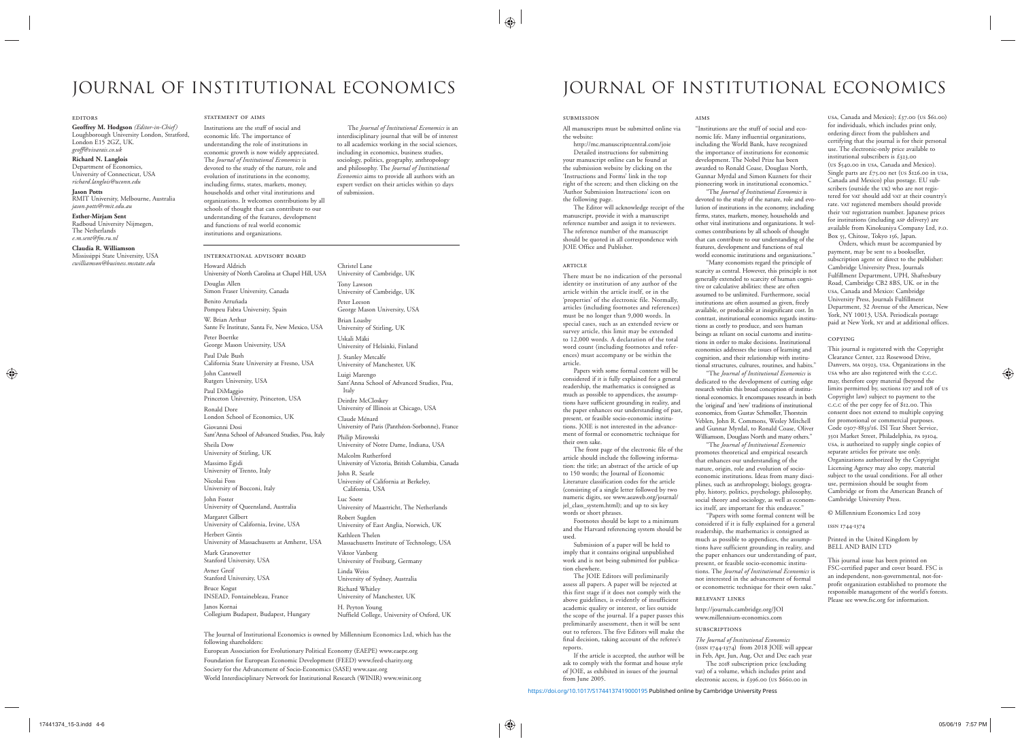## Journal of Institutional Economics

#### submission

All manuscripts must be submitted online via the website:

http://mc.manuscriptcentral.com/joie Detailed instructions for submitting your manuscript online can be found at the submission website by clicking on the 'Instructions and Forms' link in the top right of the screen; and then clicking on the 'Author Submission Instructions' icon on the following page.

The Editor will acknowledge receipt of the manuscript, provide it with a manuscript reference number and assign it to reviewers. The reference number of the manuscript should be quoted in all correspondence with JOIE Office and Publisher.

#### article

There must be no indication of the personal identity or institution of any author of the article within the article itself, or in the 'properties' of the electronic file. Normally, articles (including footnotes and references) must be no longer than 9,000 words. In special cases, such as an extended review or survey article, this limit may be extended to 12,000 words. A declaration of the total word count (including footnotes and references) must accompany or be within the article.

Papers with some formal content will be considered if it is fully explained for a general readership, the mathematics is consigned as much as possible to appendices, the assumptions have sufficient grounding in reality, and the paper enhances our understanding of past, present, or feasible socio-economic institutions. JOIE is not interested in the advancement of formal or econometric technique for their own sake.

The front page of the electronic file of the article should include the following information: the title; an abstract of the article of up to 150 words; the Journal of Economic Literature classification codes for the article (consisting of a single letter followed by two numeric digits, see www.aeaweb.org/journal/ jel\_class\_system.html); and up to six key words or short phrases.

Footnotes should be kept to a minimum and the Harvard referencing system should be used.

Submission of a paper will be held to imply that it contains original unpublished work and is not being submitted for publication elsewhere.

The JOIE Editors will preliminarily assess all papers. A paper will be rejected at this first stage if it does not comply with the above guidelines, is evidently of insufficient academic quality or interest, or lies outside the scope of the journal. If a paper passes this preliminarily assessment, then it will be sent out to referees. The five Editors will make the final decision, taking account of the referee's reports.

If the article is accepted, the author will be ask to comply with the format and house style of JOIE, as exhibited in issues of the journal from June 2005.

#### **AIMS**

"Institutions are the stuff of social and economic life. Many influential organizations, including the World Bank, have recognized the importance of institutions for economic development. The Nobel Prize has been awarded to Ronald Coase, Douglass North, Gunnar Myrdal and Simon Kuznets for their pioneering work in institutional economics."

"The *Journal of Institutional Economics* is devoted to the study of the nature, role and evolution of institutions in the economy, including firms, states, markets, money, households and other vital institutions and organizations. It welcomes contributions by all schools of thought that can contribute to our understanding of the features, development and functions of real world economic institutions and organizations."

"Many economists regard the principle of scarcity as central. However, this principle is not generally extended to scarcity of human cognitive or calculative abilities: these are often assumed to be unlimited. Furthermore, social institutions are often assumed as given, freely available, or producible at insignificant cost. In contrast, institutional economics regards institutions as costly to produce, and sees human beings as reliant on social customs and institutions in order to make decisions. Institutional economics addresses the issues of learning and cognition, and their relationship with institutional structures, cultures, routines, and habits."

"The *Journal of Institutional Economics* is dedicated to the development of cutting edge research within this broad conception of institutional economics. It encompasses research in both the 'original' and 'new' traditions of institutional economics, from Gustav Schmoller, Thorstein Veblen, John R. Commons, Wesley Mitchell and Gunnar Myrdal, to Ronald Coase, Oliver Williamson, Douglass North and many others."

"The *Journal of Institutional Economics* promotes theoretical and empirical research that enhances our understanding of the nature, origin, role and evolution of socioeconomic institutions. Ideas from many disciplines, such as anthropology, biology, geography, history, politics, psychology, philosophy, social theory and sociology, as well as economics itself, are important for this endeavor.'

"Papers with some formal content will be considered if it is fully explained for a general readership, the mathematics is consigned as much as possible to appendices, the assumptions have sufficient grounding in reality, and the paper enhances our understanding of past, present, or feasible socio-economic institutions. The *Journal of Institutional Economics* is not interested in the advancement of formal or econometric technique for their own sake."

#### relevant links

http://journals.cambridge.org/JOI www.millennium-economics.com

#### **SUBSCRIPTIONS**

*The Journal of Institutional Economics* (issn 1744-1374) from 2018 JOIE will appear

in Feb, Apr, Jun, Aug, Oct and Dec each year The 2018 subscription price (excluding

vat) of a volume, which includes print and electronic access, is £396.00 (us \$660.00 in usa, Canada and Mexico); £37.00 (us \$61.00) for individuals, which includes print only, ordering direct from the publishers and certifying that the journal is for their personal use. The electronic-only price available to institutional subscribers is £323.00 (us \$540.00 in usa, Canada and Mexico). Single parts are £75.00 net (us \$126.00 in usa, Canada and Mexico) plus postage. EU subscribers (outside the UK) who are not registered for var should add var at their country's rate. vat registered members should provide their vat registration number. Japanese prices for institutions (including asp delivery) are available from Kinokuniya Company Ltd, p.o. Box 55, Chitose, Tokyo 156, Japan.

Orders, which must be accompanied by payment, may be sent to a bookseller, subscription agent or direct to the publisher: Cambridge University Press, Journals Fulfillment Department, UPH, Shaftesbury Road, Cambridge CB2 8BS, UK. or in the usa, Canada and Mexico: Cambridge University Press, Journals Fulfillment Department, 32 Avenue of the Americas, New York, NY 10013, USA. Periodicals postage paid at New York, ny and at additional offices.

#### copying

This journal is registered with the Copyright Clearance Center, 222 Rosewood Drive, Danvers, ma 01923, usa. Organizations in the usa who are also registered with the c.c.c. may, therefore copy material (beyond the limits permitted by, sections 107 and 108 of us Copyright law) subject to payment to the c.c.c of the per copy fee of \$12.00. This consent does not extend to multiple copying for promotional or commercial purposes. Code 0307-8833/16. ISI Tear Sheet Service, 3501 Market Street, Philadelphia, pa 19104, usa, is authorized to supply single copies of separate articles for private use only. Organizations authorized by the Copyright Licensing Agency may also copy, material subject to the usual conditions. For all other use, permission should be sought from Cambridge or from the American Branch of Cambridge University Press.

#### © Millennium Economics Ltd 2019

#### issn 1744-1374

Printed in the United Kingdom by BELL AND BAIN LTD

This journal issue has been printed on FSC- certified paper and cover board. FSC is an independent, non-governmental, not-forprofit organization established to promote the responsible management of the world's forests. Please see www.fsc.org for information.